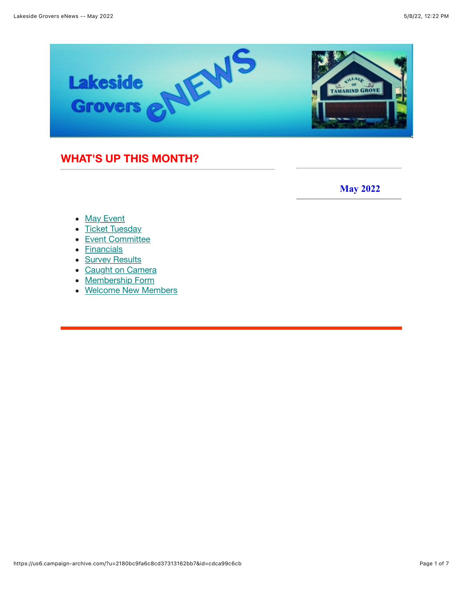

### <span id="page-0-0"></span>**WHAT'S UP THIS MONTH?**

 **May 2022**

- [May Event](#page-1-0)
- [Ticket Tuesday](#page-2-0)
- [Event Committee](https://us6.campaign-archive.com/?u=2180bc9fa6c8cd37313162bb7&id=cdca99c6cb#New%20Members%20Table)
- [Financials](#page-4-0)
- **[Survey Results](#page-4-0)**
- [Caught on Camera](#page-4-0)
- [Membership Form](#page-4-0)
- [Welcome New Members](#page-4-0)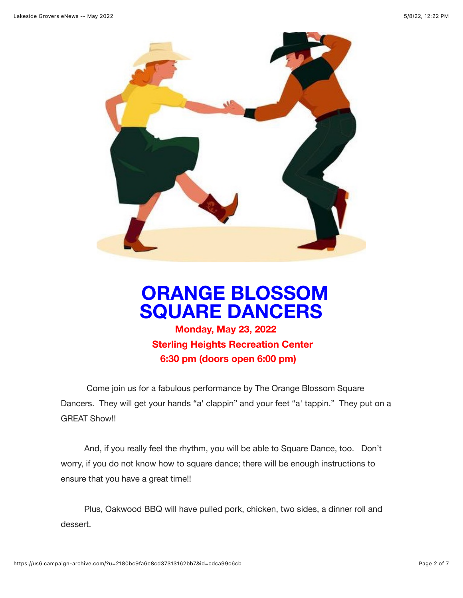

## <span id="page-1-0"></span> **ORANGE BLOSSOM SQUARE DANCERSMonday, May 23, 2022**

 **Sterling Heights Recreation Center 6:30 pm (doors open 6:00 pm)**

 Come join us for a fabulous performance by The Orange Blossom Square Dancers. They will get your hands "a' clappin" and your feet "a' tappin." They put on a GREAT Show!!

 And, if you really feel the rhythm, you will be able to Square Dance, too. Don't worry, if you do not know how to square dance; there will be enough instructions to ensure that you have a great time!!

 Plus, Oakwood BBQ will have pulled pork, chicken, two sides, a dinner roll and dessert.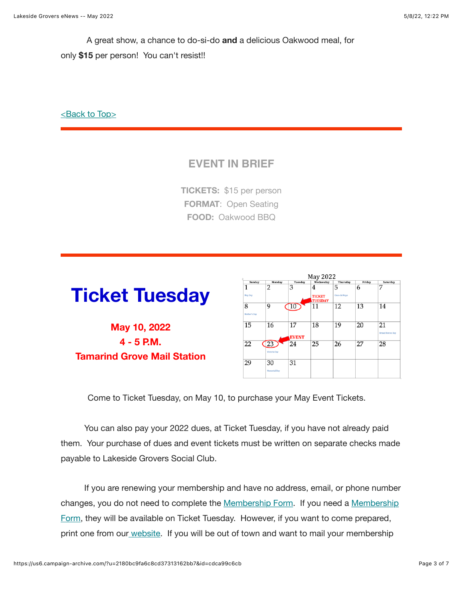A great show, a chance to do-si-do **and** a delicious Oakwood meal, for only **\$15** per person! You can't resist!!

[<Back to Top>](#page-0-0)

### **EVENT IN BRIEF**

**TICKETS:** \$15 per person **FORMAT**: Open Seating **FOOD:** Oakwood BBQ

# <span id="page-2-0"></span>**Ticket Tuesday**

**May 10, 2022 4 - 5 P.M. Tamarind Grove Mail Station**

|                   |                    |                    | May 2022                        |               |        |                        |
|-------------------|--------------------|--------------------|---------------------------------|---------------|--------|------------------------|
| Sunday            | Monday             | Tuesday            | Wednesday                       | Thursday      | Friday | Saturday               |
| 1                 | 2                  | 3                  | 4                               | 5             | 6      | 7                      |
| May Day           |                    |                    | <b>TICKET</b><br><b>TUESDAY</b> | Cinco de Mayo |        |                        |
| 8<br>Mother's Day | 9                  | 10                 | 11                              | 12            | 13     | 14                     |
| 15                | 16                 | 17<br><b>EVENT</b> | 18                              | 19            | 20     | 21<br>Armed Forces Day |
| 22                | 23<br>Victoria Day | 24                 | 25                              | 26            | 27     | 28                     |
| 29                | 30<br>Memorial Day | 31                 |                                 |               |        |                        |

Come to Ticket Tuesday, on May 10, to purchase your May Event Tickets.

 You can also pay your 2022 dues, at Ticket Tuesday, if you have not already paid them. Your purchase of dues and event tickets must be written on separate checks made payable to Lakeside Grovers Social Club.

 If you are renewing your membership and have no address, email, or phone number [changes, you do not need to complete the Membership Form. If you need a Membership](https://www.lakesidegrovers.com/uploads/9/5/2/3/95239902/2022_membership_form_v2.pdf) Form, they will be available on Ticket Tuesday. However, if you want to come prepared, p[r](https://www.lakesidegrovers.com/uploads/9/5/2/3/95239902/2022_membership_form_v2.pdf://)int one from our [website](https://www.lakesidegrovers.com/uploads/9/5/2/3/95239902/2022_membership_form_v2.pdf). If you will be out of town and want to mail your membership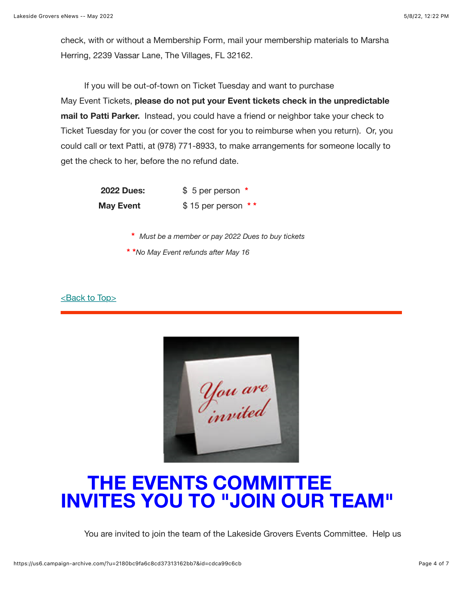check, with or without a Membership Form, mail your membership materials to Marsha Herring, 2239 Vassar Lane, The Villages, FL 32162.

 If you will be out-of-town on Ticket Tuesday and want to purchase May Event Tickets, **please do not put your Event tickets check in the unpredictable mail to Patti Parker.** Instead, you could have a friend or neighbor take your check to Ticket Tuesday for you (or cover the cost for you to reimburse when you return). Or, you could call or text Patti, at (978) 771-8933, to make arrangements for someone locally to get the check to her, before the no refund date.

> **2022 Dues:** \$ 5 per person **\* May Event**  $$ 15 per person **$

- **\*** *Must be a member or pay 2022 Dues to buy tickets*
- **\* \****No May Event refunds after May 16*

[<Back to Top>](#page-0-0)

|  | You are<br>invited |  |
|--|--------------------|--|
|  |                    |  |

# **THE EVENTS COMMITTEE INVITES YOU TO "JOIN OUR TEAM"**

You are invited to join the team of the Lakeside Grovers Events Committee. Help us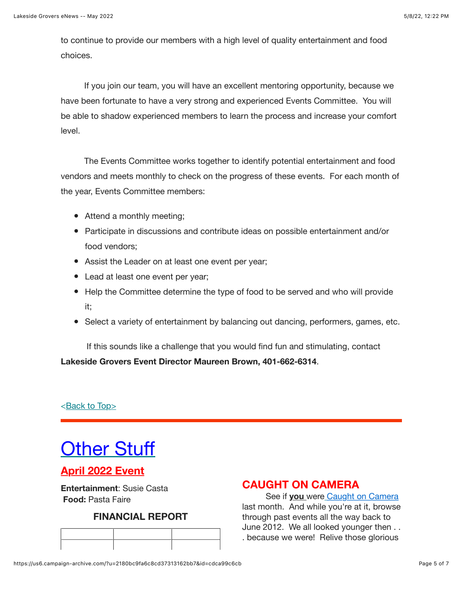to continue to provide our members with a high level of quality entertainment and food choices.

 If you join our team, you will have an excellent mentoring opportunity, because we have been fortunate to have a very strong and experienced Events Committee. You will be able to shadow experienced members to learn the process and increase your comfort level.

 The Events Committee works together to identify potential entertainment and food vendors and meets monthly to check on the progress of these events. For each month of the year, Events Committee members:

- Attend a monthly meeting;
- Participate in discussions and contribute ideas on possible entertainment and/or food vendors;
- Assist the Leader on at least one event per year;
- Lead at least one event per year;
- Help the Committee determine the type of food to be served and who will provide it;
- Select a variety of entertainment by balancing out dancing, performers, games, etc.

 If this sounds like a challenge that you would find fun and stimulating, contact **Lakeside Grovers Event Director Maureen Brown, 401-662-6314**.

[<Back to Top>](#page-0-0)

# <span id="page-4-0"></span>**Other Stuff**

### **April 2022 Event**

**Entertainment**: Susie Casta **Food:** Pasta Faire

#### **FINANCIAL REPORT**

#### **CAUGHT ON CAMERA**

 See if **you** wer[e](https://www.lakesidegrovers.com/caught-on-camera.html) [Caught on Camera](https://www.lakesidegrovers.com/caught-on-camera.html) last month. And while you're at it, browse through past events all the way back to June 2012. We all looked younger then . . . because we were! Relive those glorious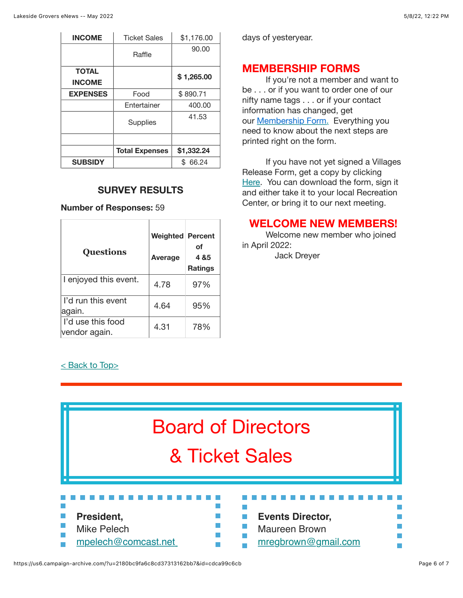| <b>INCOME</b>                 | <b>Ticket Sales</b>   | \$1,176.00 |
|-------------------------------|-----------------------|------------|
|                               | Raffle                | 90.00      |
| <b>TOTAL</b><br><b>INCOME</b> |                       | \$1,265.00 |
| <b>EXPENSES</b>               | Food                  | \$890.71   |
|                               | Entertainer           | 400.00     |
|                               | Supplies              | 41.53      |
|                               |                       |            |
|                               | <b>Total Expenses</b> | \$1,332.24 |
| <b>SUBSIDY</b>                |                       | 66.24      |

#### **SURVEY RESULTS**

**Number of Responses:** 59

| <b>Questions</b>                   | Weighted Percent<br><b>Average</b> | οf<br>4 & 5<br><b>Ratings</b> |
|------------------------------------|------------------------------------|-------------------------------|
| I enjoyed this event.              | 4.78                               | 97%                           |
| I'd run this event<br>again.       | 4.64                               | 95%                           |
| I'd use this food<br>vendor again. | 4.31                               | 78%                           |

#### [< Back to Top>](#page-0-0)

days of yesteryear.

#### **MEMBERSHIP FORMS**

 If you're not a member and want to be . . . or if you want to order one of our nifty name tags . . . or if your contact information has changed, get our [Membership Form.](https://www.lakesidegrovers.com/uploads/9/5/2/3/95239902/2022_membership_form_v2.pdf) Everything you need to know about the next steps are printed right on the form.

 If you have not yet signed a Villages Release Form, get a copy by clicking [Here](https://www.districtgov.org/images/activity-release.pdf). You can download the form, sign it and either take it to your local Recreation Center, or bring it to our next meeting.

#### **WELCOME NEW MEMBERS!**

 Welcome new member who joined in April 2022: Jack Dreyer